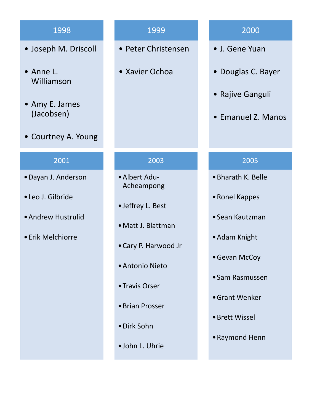- Joseph M. Driscoll
- Anne L. Williamson
- Amy E. James (Jacobsen)
- Courtney A. Young

#### 2001

- •Dayan J. Anderson
- •Leo J. Gilbride
- •Andrew Hustrulid
- •Erik Melchiorre

# 1999

- Peter Christensen
- Xavier Ochoa

## 2003

- •Albert Adu-Acheampong
- •Jeffrey L. Best
- •Matt J. Blattman
- •Cary P. Harwood Jr
- •Antonio Nieto
- •Travis Orser
- •Brian Prosser
- •Dirk Sohn
- •John L. Uhrie

# 2000

- J. Gene Yuan
- Douglas C. Bayer
- Rajive Ganguli
- Emanuel Z. Manos

### 2005

- •Bharath K. Belle
- •Ronel Kappes
- •Sean Kautzman
- •Adam Knight
- •Gevan McCoy
- •Sam Rasmussen
- •Grant Wenker
- •Brett Wissel
- •Raymond Henn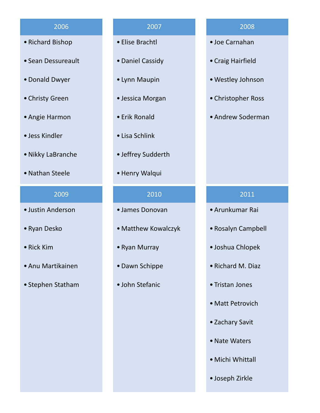- Richard Bishop
- Sean Dessureault
- •Donald Dwyer
- Christy Green
- Angie Harmon
- Jess Kindler
- •Nikky LaBranche
- •Nathan Steele

#### 2009

- Justin Anderson
- Ryan Desko
- Rick Kim
- Anu Martikainen
- Stephen Statham

### 2007

- Elise Brachtl
- •Daniel Cassidy
- Lynn Maupin
- Jessica Morgan
- Erik Ronald
- Lisa Schlink
- Jeffrey Sudderth
- •Henry Walqui

#### 2010

- James Donovan
- Matthew Kowalczyk
- Ryan Murray
- •Dawn Schippe
- John Stefanic

#### 2008

- Joe Carnahan
- Craig Hairfield
- •Westley Johnson
- Christopher Ross
- Andrew Soderman

#### 2011

- Arunkumar Rai
- Rosalyn Campbell
- Joshua Chlopek
- Richard M. Diaz
- Tristan Jones
- Matt Petrovich
- Zachary Savit
- •Nate Waters
- Michi Whittall
- Joseph Zirkle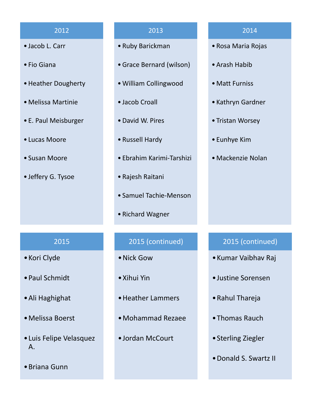- Jacob L. Carr
- Fio Giana
- •Heather Dougherty
- Melissa Martinie
- E. Paul Meisburger
- Lucas Moore
- Susan Moore
- Jeffery G. Tysoe

#### 2013

- Ruby Barickman
- •Grace Bernard (wilson)
- •William Collingwood
- Jacob Croall
- •David W. Pires
- Russell Hardy
- Ebrahim Karimi-Tarshizi
- Rajesh Raitani
- Samuel Tachie-Menson
- Richard Wagner

#### 2014

- Rosa Maria Rojas
- Arash Habib
- Matt Furniss
- Kathryn Gardner
- Tristan Worsey
- Eunhye Kim
- Mackenzie Nolan

### 2015

- •Kori Clyde
- •Paul Schmidt
- •Ali Haghighat
- •Melissa Boerst
- •Luis Felipe Velasquez A.
- •Briana Gunn

# 2015 (continued)

- •Nick Gow
- •Xihui Yin
- •Heather Lammers
- •Mohammad Rezaee
- •Jordan McCourt

## 2015 (continued)

- •Kumar Vaibhav Raj
- •Justine Sorensen
- •Rahul Thareja
- •Thomas Rauch
- •Sterling Ziegler
- •Donald S. Swartz II